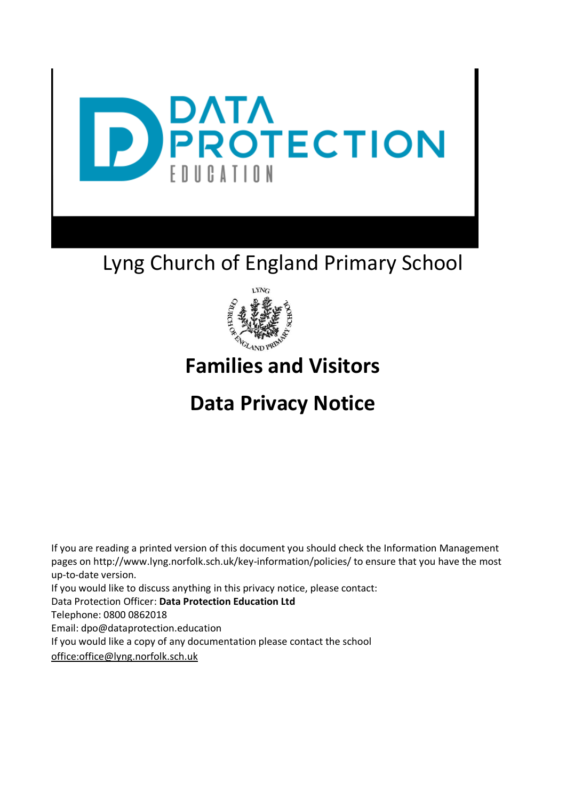

# Lyng Church of England Primary School



# **Families and Visitors**

# **Data Privacy Notice**

If you are reading a printed version of this document you should check the Information Management pages on http://www.lyng.norfolk.sch.uk/key-information/policies/ to ensure that you have the most up-to-date version. If you would like to discuss anything in this privacy notice, please contact: Data Protection Officer: **Data Protection Education Ltd**  Telephone: 0800 0862018 Email: dpo@dataprotection.education If you would like a copy of any documentation please contact the school

office:office@lyng.norfolk.sch.uk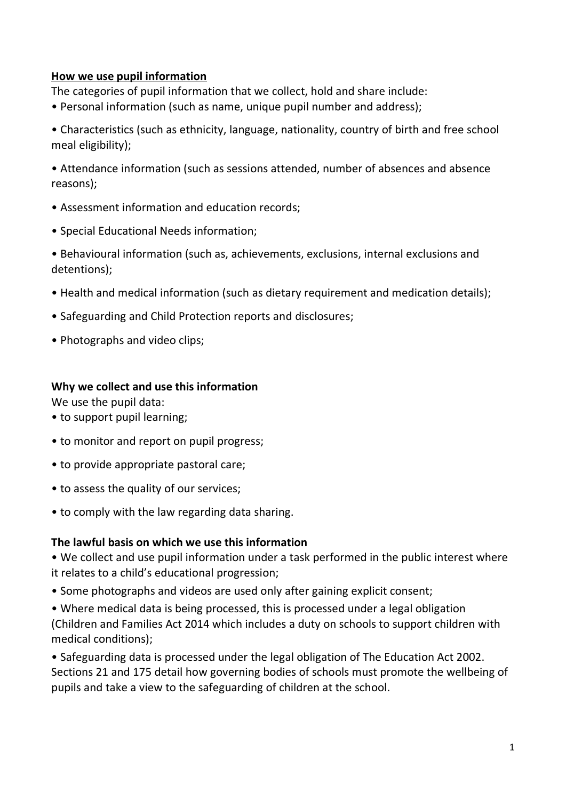#### **How we use pupil information**

The categories of pupil information that we collect, hold and share include:

• Personal information (such as name, unique pupil number and address);

• Characteristics (such as ethnicity, language, nationality, country of birth and free school meal eligibility);

• Attendance information (such as sessions attended, number of absences and absence reasons);

- Assessment information and education records;
- Special Educational Needs information;

• Behavioural information (such as, achievements, exclusions, internal exclusions and detentions);

- Health and medical information (such as dietary requirement and medication details);
- Safeguarding and Child Protection reports and disclosures;
- Photographs and video clips;

#### **Why we collect and use this information**

We use the pupil data:

- to support pupil learning;
- to monitor and report on pupil progress;
- to provide appropriate pastoral care;
- to assess the quality of our services;
- to comply with the law regarding data sharing.

#### **The lawful basis on which we use this information**

• We collect and use pupil information under a task performed in the public interest where it relates to a child's educational progression;

• Some photographs and videos are used only after gaining explicit consent;

• Where medical data is being processed, this is processed under a legal obligation (Children and Families Act 2014 which includes a duty on schools to support children with medical conditions);

• Safeguarding data is processed under the legal obligation of The Education Act 2002. Sections 21 and 175 detail how governing bodies of schools must promote the wellbeing of pupils and take a view to the safeguarding of children at the school.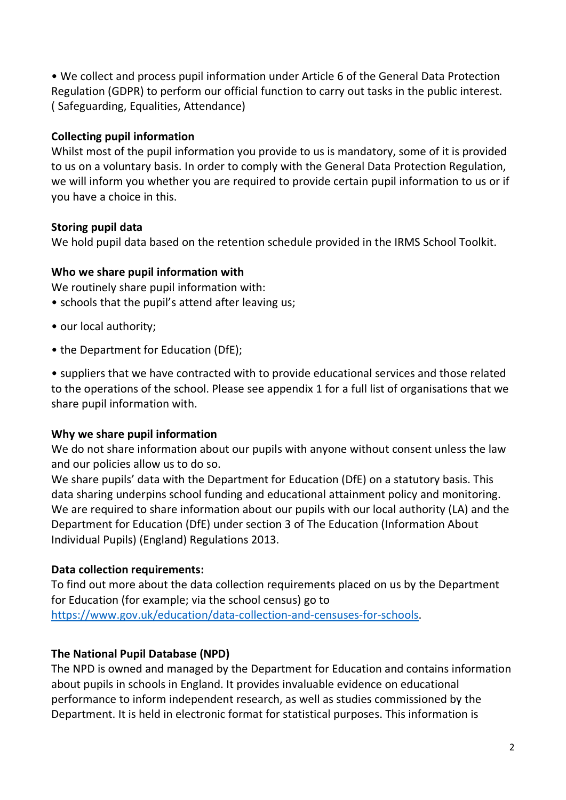• We collect and process pupil information under Article 6 of the General Data Protection Regulation (GDPR) to perform our official function to carry out tasks in the public interest. ( Safeguarding, Equalities, Attendance)

## **Collecting pupil information**

Whilst most of the pupil information you provide to us is mandatory, some of it is provided to us on a voluntary basis. In order to comply with the General Data Protection Regulation, we will inform you whether you are required to provide certain pupil information to us or if you have a choice in this.

### **Storing pupil data**

We hold pupil data based on the retention schedule provided in the IRMS School Toolkit.

### **Who we share pupil information with**

We routinely share pupil information with:

- schools that the pupil's attend after leaving us;
- our local authority;
- the Department for Education (DfE);

• suppliers that we have contracted with to provide educational services and those related to the operations of the school. Please see appendix 1 for a full list of organisations that we share pupil information with.

#### **Why we share pupil information**

We do not share information about our pupils with anyone without consent unless the law and our policies allow us to do so.

We share pupils' data with the Department for Education (DfE) on a statutory basis. This data sharing underpins school funding and educational attainment policy and monitoring. We are required to share information about our pupils with our local authority (LA) and the Department for Education (DfE) under section 3 of The Education (Information About Individual Pupils) (England) Regulations 2013.

# **Data collection requirements:**

To find out more about the data collection requirements placed on us by the Department for Education (for example; via the school census) go to [https://www.gov.uk/education/data-collection-and-censuses-for-schools.](https://www.gov.uk/education/data-collection-and-censuses-for-schools)

# **The National Pupil Database (NPD)**

The NPD is owned and managed by the Department for Education and contains information about pupils in schools in England. It provides invaluable evidence on educational performance to inform independent research, as well as studies commissioned by the Department. It is held in electronic format for statistical purposes. This information is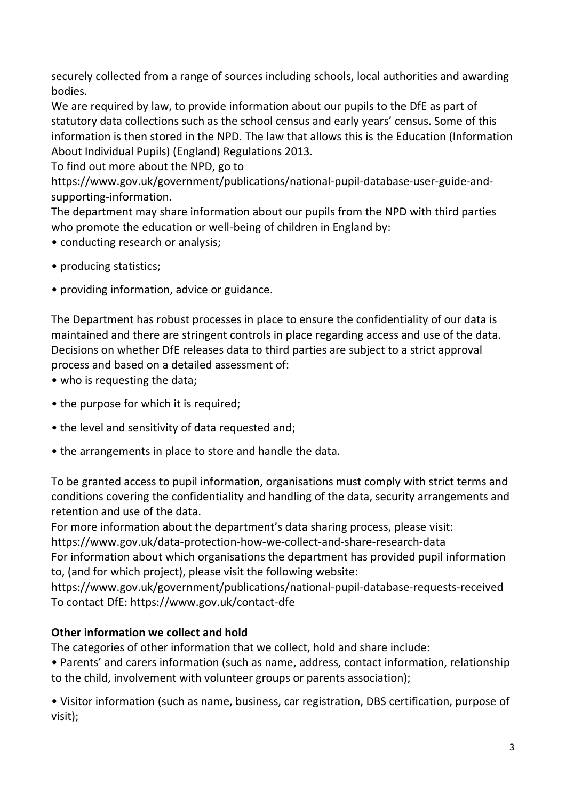securely collected from a range of sources including schools, local authorities and awarding bodies.

We are required by law, to provide information about our pupils to the DfE as part of statutory data collections such as the school census and early years' census. Some of this information is then stored in the NPD. The law that allows this is the Education (Information About Individual Pupils) (England) Regulations 2013.

To find out more about the NPD, go to

https://www.gov.uk/government/publications/national-pupil-database-user-guide-andsupporting-information.

The department may share information about our pupils from the NPD with third parties who promote the education or well-being of children in England by:

- conducting research or analysis;
- producing statistics;
- providing information, advice or guidance.

The Department has robust processes in place to ensure the confidentiality of our data is maintained and there are stringent controls in place regarding access and use of the data. Decisions on whether DfE releases data to third parties are subject to a strict approval process and based on a detailed assessment of:

- who is requesting the data:
- the purpose for which it is required;
- the level and sensitivity of data requested and;
- the arrangements in place to store and handle the data.

To be granted access to pupil information, organisations must comply with strict terms and conditions covering the confidentiality and handling of the data, security arrangements and retention and use of the data.

For more information about the department's data sharing process, please visit:

https://www.gov.uk/data-protection-how-we-collect-and-share-research-data

For information about which organisations the department has provided pupil information to, (and for which project), please visit the following website:

https://www.gov.uk/government/publications/national-pupil-database-requests-received To contact DfE: https://www.gov.uk/contact-dfe

# **Other information we collect and hold**

The categories of other information that we collect, hold and share include:

• Parents' and carers information (such as name, address, contact information, relationship to the child, involvement with volunteer groups or parents association);

• Visitor information (such as name, business, car registration, DBS certification, purpose of visit);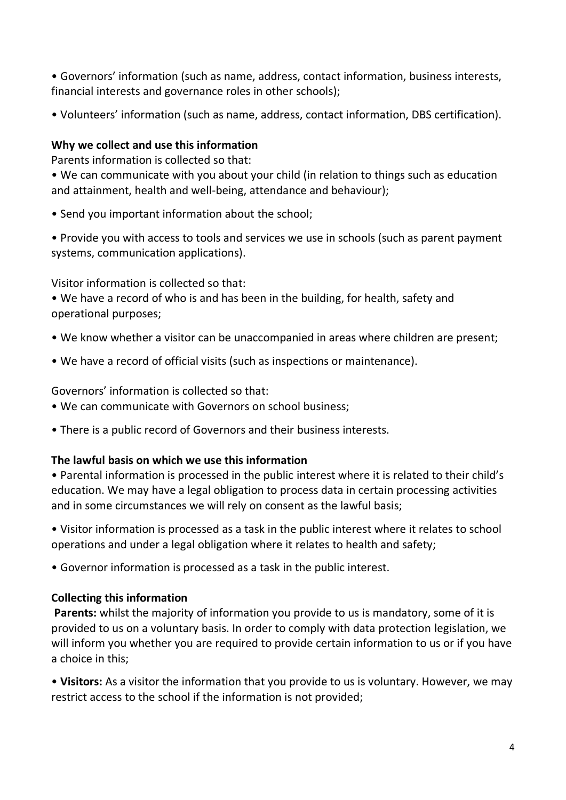• Governors' information (such as name, address, contact information, business interests, financial interests and governance roles in other schools);

• Volunteers' information (such as name, address, contact information, DBS certification).

### **Why we collect and use this information**

Parents information is collected so that:

• We can communicate with you about your child (in relation to things such as education and attainment, health and well-being, attendance and behaviour);

• Send you important information about the school;

• Provide you with access to tools and services we use in schools (such as parent payment systems, communication applications).

Visitor information is collected so that:

• We have a record of who is and has been in the building, for health, safety and operational purposes;

- We know whether a visitor can be unaccompanied in areas where children are present;
- We have a record of official visits (such as inspections or maintenance).

Governors' information is collected so that:

- We can communicate with Governors on school business;
- There is a public record of Governors and their business interests.

# **The lawful basis on which we use this information**

• Parental information is processed in the public interest where it is related to their child's education. We may have a legal obligation to process data in certain processing activities and in some circumstances we will rely on consent as the lawful basis;

• Visitor information is processed as a task in the public interest where it relates to school operations and under a legal obligation where it relates to health and safety;

• Governor information is processed as a task in the public interest.

# **Collecting this information**

**Parents:** whilst the majority of information you provide to us is mandatory, some of it is provided to us on a voluntary basis. In order to comply with data protection legislation, we will inform you whether you are required to provide certain information to us or if you have a choice in this;

• **Visitors:** As a visitor the information that you provide to us is voluntary. However, we may restrict access to the school if the information is not provided;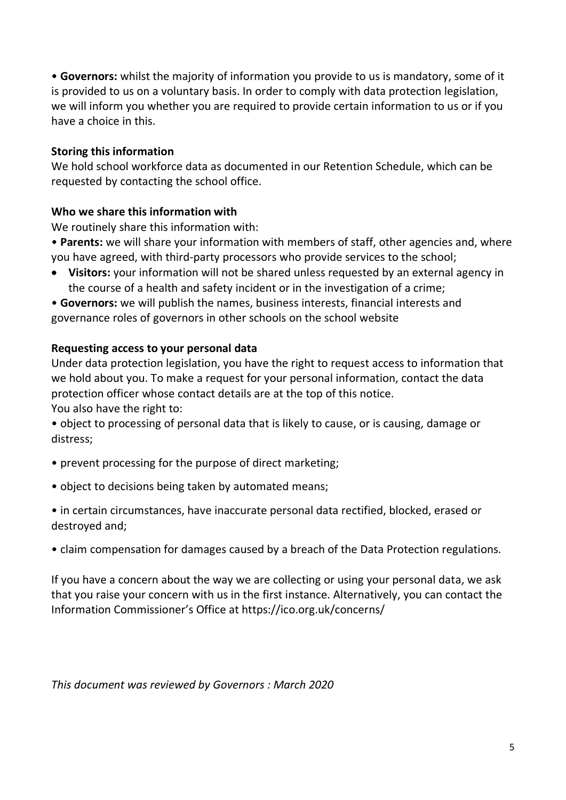• **Governors:** whilst the majority of information you provide to us is mandatory, some of it is provided to us on a voluntary basis. In order to comply with data protection legislation, we will inform you whether you are required to provide certain information to us or if you have a choice in this.

#### **Storing this information**

We hold school workforce data as documented in our Retention Schedule, which can be requested by contacting the school office.

### **Who we share this information with**

We routinely share this information with:

- **Parents:** we will share your information with members of staff, other agencies and, where you have agreed, with third-party processors who provide services to the school;
- **Visitors:** your information will not be shared unless requested by an external agency in the course of a health and safety incident or in the investigation of a crime;
- **Governors:** we will publish the names, business interests, financial interests and governance roles of governors in other schools on the school website

### **Requesting access to your personal data**

Under data protection legislation, you have the right to request access to information that we hold about you. To make a request for your personal information, contact the data protection officer whose contact details are at the top of this notice. You also have the right to:

• object to processing of personal data that is likely to cause, or is causing, damage or distress;

- prevent processing for the purpose of direct marketing;
- object to decisions being taken by automated means;
- in certain circumstances, have inaccurate personal data rectified, blocked, erased or destroyed and;
- claim compensation for damages caused by a breach of the Data Protection regulations.

If you have a concern about the way we are collecting or using your personal data, we ask that you raise your concern with us in the first instance. Alternatively, you can contact the Information Commissioner's Office at https://ico.org.uk/concerns/

*This document was reviewed by Governors : March 2020*